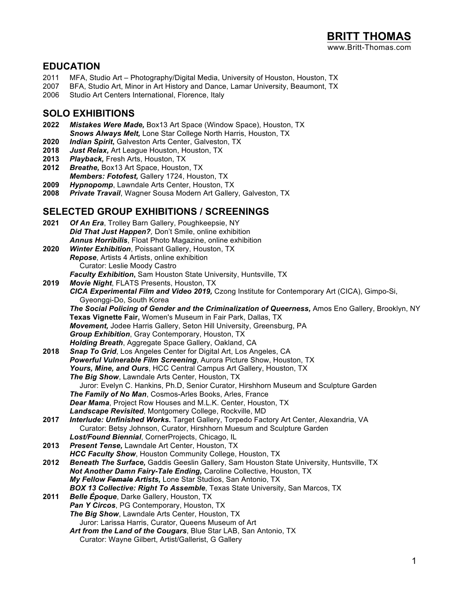#### **EDUCATION**

- 2011 MFA, Studio Art Photography/Digital Media, University of Houston, Houston, TX
- 2007 BFA, Studio Art, Minor in Art History and Dance, Lamar University, Beaumont, TX<br>2006 Studio Art Centers International. Florence, Italy
- Studio Art Centers International, Florence, Italy

#### **SOLO EXHIBITIONS**

- **2022** *Mistakes Were Made,* Box13 Art Space (Window Space), Houston, TX *Snows Always Melt,* Lone Star College North Harris, Houston, TX
- **2020** *Indian Spirit***,** Galveston Arts Center, Galveston, TX
- **2018** *Just Relax,* Art League Houston, Houston, TX
- **2013** *Playback,* Fresh Arts, Houston, TX
- **2012** *Breathe,* Box13 Art Space, Houston, TX *Members: Fotofest,* Gallery 1724, Houston, TX
- **2009** *Hypnopomp*, Lawndale Arts Center, Houston, TX
- **Private Travail**, Wagner Sousa Modern Art Gallery, Galveston, TX

#### **SELECTED GROUP EXHIBITIONS / SCREENINGS**

| 2021 | Of An Era, Trolley Barn Gallery, Poughkeepsie, NY                                                  |
|------|----------------------------------------------------------------------------------------------------|
|      | Did That Just Happen?, Don't Smile, online exhibition                                              |
|      | <b>Annus Horribilis, Float Photo Magazine, online exhibition</b>                                   |
| 2020 | <b>Winter Exhibition, Poissant Gallery, Houston, TX</b>                                            |
|      | Repose, Artists 4 Artists, online exhibition                                                       |
|      | Curator: Leslie Moody Castro                                                                       |
|      | Faculty Exhibition, Sam Houston State University, Huntsville, TX                                   |
| 2019 | Movie Night, FLATS Presents, Houston, TX                                                           |
|      | CICA Experimental Film and Video 2019, Czong Institute for Contemporary Art (CICA), Gimpo-Si,      |
|      | Gyeonggi-Do, South Korea                                                                           |
|      | The Social Policing of Gender and the Criminalization of Queerness, Amos Eno Gallery, Brooklyn, NY |
|      | Texas Vignette Fair, Women's Museum in Fair Park, Dallas, TX                                       |
|      | Movement, Jodee Harris Gallery, Seton Hill University, Greensburg, PA                              |
|      | Group Exhibition, Gray Contemporary, Houston, TX                                                   |
|      | Holding Breath, Aggregate Space Gallery, Oakland, CA                                               |
| 2018 | Snap To Grid, Los Angeles Center for Digital Art, Los Angeles, CA                                  |
|      | Powerful Vulnerable Film Screening, Aurora Picture Show, Houston, TX                               |
|      | Yours, Mine, and Ours, HCC Central Campus Art Gallery, Houston, TX                                 |
|      | The Big Show, Lawndale Arts Center, Houston, TX                                                    |
|      | Juror: Evelyn C. Hankins, Ph.D, Senior Curator, Hirshhorn Museum and Sculpture Garden              |
|      | The Family of No Man, Cosmos-Arles Books, Arles, France                                            |
|      | Dear Mama, Project Row Houses and M.L.K. Center, Houston, TX                                       |
|      | Landscape Revisited, Montgomery College, Rockville, MD                                             |
| 2017 | Interlude: Unfinished Works. Target Gallery, Torpedo Factory Art Center, Alexandria, VA            |
|      | Curator: Betsy Johnson, Curator, Hirshhorn Muesum and Sculpture Garden                             |
|      | Lost/Found Biennial, CornerProjects, Chicago, IL                                                   |
| 2013 | <b>Present Tense, Lawndale Art Center, Houston, TX</b>                                             |
|      | <b>HCC Faculty Show, Houston Community College, Houston, TX</b>                                    |
| 2012 | Beneath The Surface, Gaddis Geeslin Gallery, Sam Houston State University, Huntsville, TX          |
|      | Not Another Damn Fairy-Tale Ending, Caroline Collective, Houston, TX                               |
|      | My Fellow Female Artists, Lone Star Studios, San Antonio, TX                                       |
|      | <b>BOX 13 Collective: Right To Assemble, Texas State University, San Marcos, TX</b>                |
| 2011 | <b>Belle Époque, Darke Gallery, Houston, TX</b>                                                    |
|      | Pan Y Circos, PG Contemporary, Houston, TX                                                         |
|      | The Big Show, Lawndale Arts Center, Houston, TX                                                    |
|      | Juror: Larissa Harris, Curator, Queens Museum of Art                                               |
|      | Art from the Land of the Cougars, Blue Star LAB, San Antonio, TX                                   |
|      | Curator: Wayne Gilbert, Artist/Gallerist, G Gallery                                                |